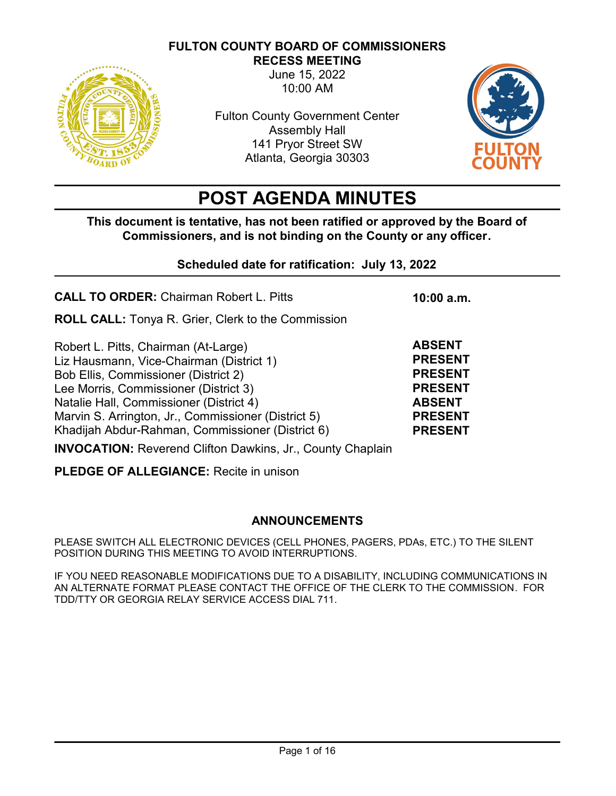## **FULTON COUNTY BOARD OF COMMISSIONERS**



**RECESS MEETING**

June 15, 2022 10:00 AM

Fulton County Government Center Assembly Hall 141 Pryor Street SW Atlanta, Georgia 30303



# **POST AGENDA MINUTES**

**This document is tentative, has not been ratified or approved by the Board of Commissioners, and is not binding on the County or any officer.** 

# **Scheduled date for ratification: July 13, 2022**

| <b>CALL TO ORDER: Chairman Robert L. Pitts</b>                                                                                                                                                                                                                                                                          | 10:00 a.m.                                                                                                               |
|-------------------------------------------------------------------------------------------------------------------------------------------------------------------------------------------------------------------------------------------------------------------------------------------------------------------------|--------------------------------------------------------------------------------------------------------------------------|
| <b>ROLL CALL:</b> Tonya R. Grier, Clerk to the Commission                                                                                                                                                                                                                                                               |                                                                                                                          |
| Robert L. Pitts, Chairman (At-Large)<br>Liz Hausmann, Vice-Chairman (District 1)<br>Bob Ellis, Commissioner (District 2)<br>Lee Morris, Commissioner (District 3)<br>Natalie Hall, Commissioner (District 4)<br>Marvin S. Arrington, Jr., Commissioner (District 5)<br>Khadijah Abdur-Rahman, Commissioner (District 6) | <b>ABSENT</b><br><b>PRESENT</b><br><b>PRESENT</b><br><b>PRESENT</b><br><b>ABSENT</b><br><b>PRESENT</b><br><b>PRESENT</b> |

**INVOCATION:** Reverend Clifton Dawkins, Jr., County Chaplain

**PLEDGE OF ALLEGIANCE:** Recite in unison

## **ANNOUNCEMENTS**

PLEASE SWITCH ALL ELECTRONIC DEVICES (CELL PHONES, PAGERS, PDAs, ETC.) TO THE SILENT POSITION DURING THIS MEETING TO AVOID INTERRUPTIONS.

IF YOU NEED REASONABLE MODIFICATIONS DUE TO A DISABILITY, INCLUDING COMMUNICATIONS IN AN ALTERNATE FORMAT PLEASE CONTACT THE OFFICE OF THE CLERK TO THE COMMISSION. FOR TDD/TTY OR GEORGIA RELAY SERVICE ACCESS DIAL 711.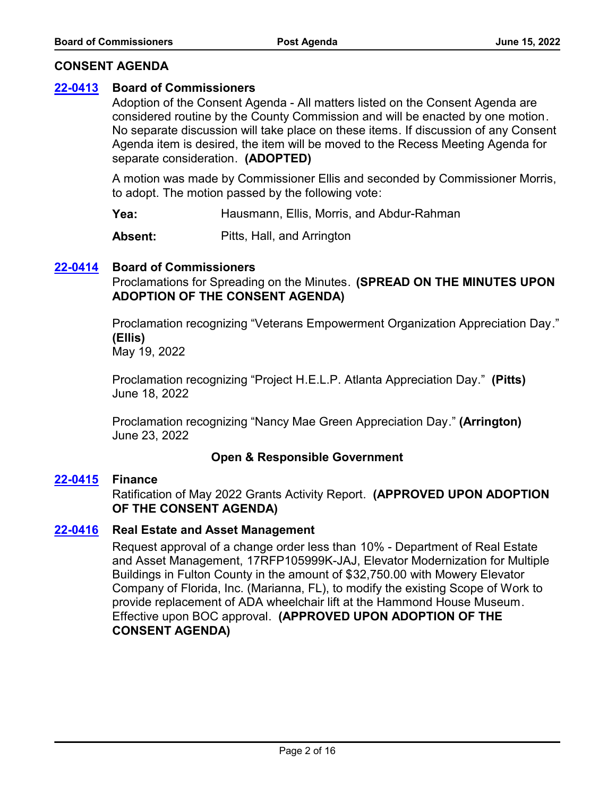## **CONSENT AGENDA**

# **[22-0413](http://fulton.legistar.com/gateway.aspx?m=l&id=/matter.aspx?key=10918) Board of Commissioners**

Adoption of the Consent Agenda - All matters listed on the Consent Agenda are considered routine by the County Commission and will be enacted by one motion. No separate discussion will take place on these items. If discussion of any Consent Agenda item is desired, the item will be moved to the Recess Meeting Agenda for separate consideration. **(ADOPTED)**

A motion was made by Commissioner Ellis and seconded by Commissioner Morris, to adopt. The motion passed by the following vote:

**Yea:** Hausmann, Ellis, Morris, and Abdur-Rahman

**Absent:** Pitts, Hall, and Arrington

## **[22-0414](http://fulton.legistar.com/gateway.aspx?m=l&id=/matter.aspx?key=10919) Board of Commissioners**

Proclamations for Spreading on the Minutes. **(SPREAD ON THE MINUTES UPON ADOPTION OF THE CONSENT AGENDA)**

Proclamation recognizing "Veterans Empowerment Organization Appreciation Day." **(Ellis)** May 19, 2022

Proclamation recognizing "Project H.E.L.P. Atlanta Appreciation Day." **(Pitts)** June 18, 2022

Proclamation recognizing "Nancy Mae Green Appreciation Day." **(Arrington)** June 23, 2022

## **Open & Responsible Government**

## **[22-0415](http://fulton.legistar.com/gateway.aspx?m=l&id=/matter.aspx?key=10868) Finance**

Ratification of May 2022 Grants Activity Report. **(APPROVED UPON ADOPTION OF THE CONSENT AGENDA)**

#### **[22-0416](http://fulton.legistar.com/gateway.aspx?m=l&id=/matter.aspx?key=10898) Real Estate and Asset Management**

Request approval of a change order less than 10% - Department of Real Estate and Asset Management, 17RFP105999K-JAJ, Elevator Modernization for Multiple Buildings in Fulton County in the amount of \$32,750.00 with Mowery Elevator Company of Florida, Inc. (Marianna, FL), to modify the existing Scope of Work to provide replacement of ADA wheelchair lift at the Hammond House Museum. Effective upon BOC approval. **(APPROVED UPON ADOPTION OF THE CONSENT AGENDA)**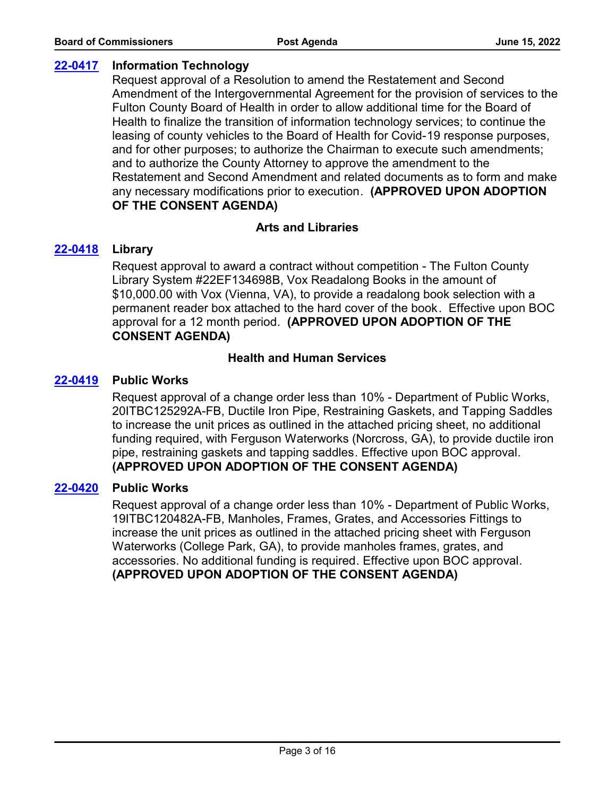# **[22-0417](http://fulton.legistar.com/gateway.aspx?m=l&id=/matter.aspx?key=10917) Information Technology**

Request approval of a Resolution to amend the Restatement and Second Amendment of the Intergovernmental Agreement for the provision of services to the Fulton County Board of Health in order to allow additional time for the Board of Health to finalize the transition of information technology services; to continue the leasing of county vehicles to the Board of Health for Covid-19 response purposes, and for other purposes; to authorize the Chairman to execute such amendments; and to authorize the County Attorney to approve the amendment to the Restatement and Second Amendment and related documents as to form and make any necessary modifications prior to execution. **(APPROVED UPON ADOPTION OF THE CONSENT AGENDA)**

## **Arts and Libraries**

## **[22-0418](http://fulton.legistar.com/gateway.aspx?m=l&id=/matter.aspx?key=10804) Library**

Request approval to award a contract without competition - The Fulton County Library System #22EF134698B, Vox Readalong Books in the amount of \$10,000.00 with Vox (Vienna, VA), to provide a readalong book selection with a permanent reader box attached to the hard cover of the book. Effective upon BOC approval for a 12 month period. **(APPROVED UPON ADOPTION OF THE CONSENT AGENDA)**

### **Health and Human Services**

### **[22-0419](http://fulton.legistar.com/gateway.aspx?m=l&id=/matter.aspx?key=10764) Public Works**

Request approval of a change order less than 10% - Department of Public Works, 20ITBC125292A-FB, Ductile Iron Pipe, Restraining Gaskets, and Tapping Saddles to increase the unit prices as outlined in the attached pricing sheet, no additional funding required, with Ferguson Waterworks (Norcross, GA), to provide ductile iron pipe, restraining gaskets and tapping saddles. Effective upon BOC approval. **(APPROVED UPON ADOPTION OF THE CONSENT AGENDA)**

#### **[22-0420](http://fulton.legistar.com/gateway.aspx?m=l&id=/matter.aspx?key=10767) Public Works**

Request approval of a change order less than 10% - Department of Public Works, 19ITBC120482A-FB, Manholes, Frames, Grates, and Accessories Fittings to increase the unit prices as outlined in the attached pricing sheet with Ferguson Waterworks (College Park, GA), to provide manholes frames, grates, and accessories. No additional funding is required. Effective upon BOC approval. **(APPROVED UPON ADOPTION OF THE CONSENT AGENDA)**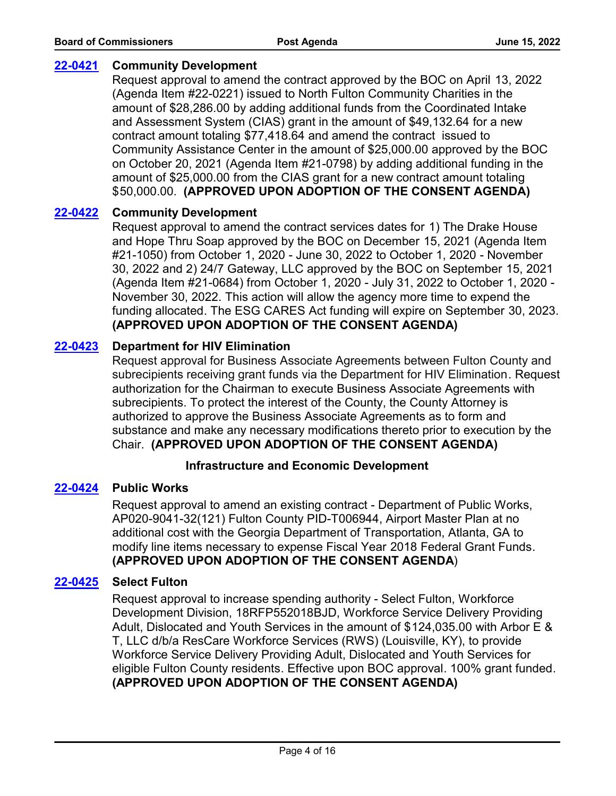# **[22-0421](http://fulton.legistar.com/gateway.aspx?m=l&id=/matter.aspx?key=10809) Community Development**

Request approval to amend the contract approved by the BOC on April 13, 2022 (Agenda Item #22-0221) issued to North Fulton Community Charities in the amount of \$28,286.00 by adding additional funds from the Coordinated Intake and Assessment System (CIAS) grant in the amount of \$49,132.64 for a new contract amount totaling \$77,418.64 and amend the contract issued to Community Assistance Center in the amount of \$25,000.00 approved by the BOC on October 20, 2021 (Agenda Item #21-0798) by adding additional funding in the amount of \$25,000.00 from the CIAS grant for a new contract amount totaling \$50,000.00. **(APPROVED UPON ADOPTION OF THE CONSENT AGENDA)**

## **[22-0422](http://fulton.legistar.com/gateway.aspx?m=l&id=/matter.aspx?key=10810) Community Development**

Request approval to amend the contract services dates for 1) The Drake House and Hope Thru Soap approved by the BOC on December 15, 2021 (Agenda Item #21-1050) from October 1, 2020 - June 30, 2022 to October 1, 2020 - November 30, 2022 and 2) 24/7 Gateway, LLC approved by the BOC on September 15, 2021 (Agenda Item #21-0684) from October 1, 2020 - July 31, 2022 to October 1, 2020 - November 30, 2022. This action will allow the agency more time to expend the funding allocated. The ESG CARES Act funding will expire on September 30, 2023. **(APPROVED UPON ADOPTION OF THE CONSENT AGENDA)**

# **[22-0423](http://fulton.legistar.com/gateway.aspx?m=l&id=/matter.aspx?key=10815) Department for HIV Elimination**

Request approval for Business Associate Agreements between Fulton County and subrecipients receiving grant funds via the Department for HIV Elimination. Request authorization for the Chairman to execute Business Associate Agreements with subrecipients. To protect the interest of the County, the County Attorney is authorized to approve the Business Associate Agreements as to form and substance and make any necessary modifications thereto prior to execution by the Chair. **(APPROVED UPON ADOPTION OF THE CONSENT AGENDA)**

## **Infrastructure and Economic Development**

## **[22-0424](http://fulton.legistar.com/gateway.aspx?m=l&id=/matter.aspx?key=10832) Public Works**

Request approval to amend an existing contract - Department of Public Works, AP020-9041-32(121) Fulton County PID-T006944, Airport Master Plan at no additional cost with the Georgia Department of Transportation, Atlanta, GA to modify line items necessary to expense Fiscal Year 2018 Federal Grant Funds. **(APPROVED UPON ADOPTION OF THE CONSENT AGENDA**)

## **[22-0425](http://fulton.legistar.com/gateway.aspx?m=l&id=/matter.aspx?key=10855) Select Fulton**

Request approval to increase spending authority - Select Fulton, Workforce Development Division, 18RFP552018BJD, Workforce Service Delivery Providing Adult, Dislocated and Youth Services in the amount of \$124,035.00 with Arbor E & T, LLC d/b/a ResCare Workforce Services (RWS) (Louisville, KY), to provide Workforce Service Delivery Providing Adult, Dislocated and Youth Services for eligible Fulton County residents. Effective upon BOC approval. 100% grant funded. **(APPROVED UPON ADOPTION OF THE CONSENT AGENDA)**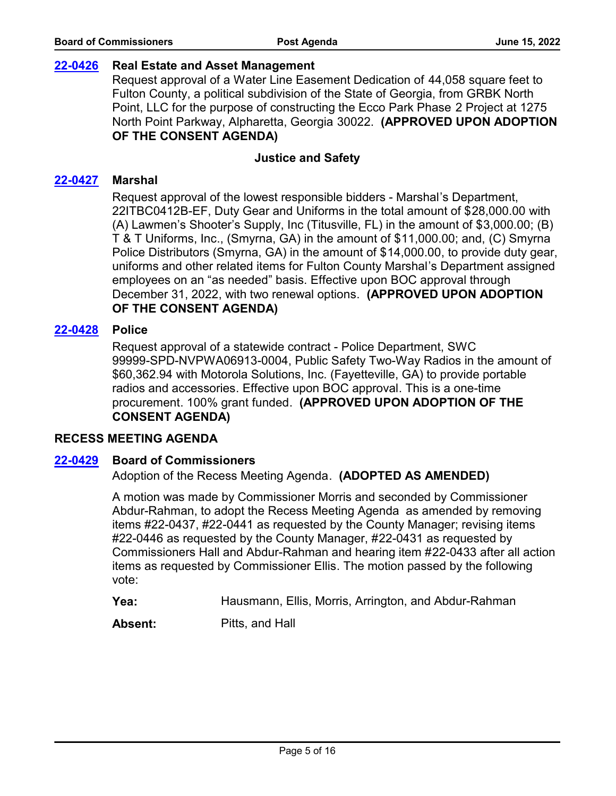### **[22-0426](http://fulton.legistar.com/gateway.aspx?m=l&id=/matter.aspx?key=10877) Real Estate and Asset Management**

Request approval of a Water Line Easement Dedication of 44,058 square feet to Fulton County, a political subdivision of the State of Georgia, from GRBK North Point, LLC for the purpose of constructing the Ecco Park Phase 2 Project at 1275 North Point Parkway, Alpharetta, Georgia 30022. **(APPROVED UPON ADOPTION OF THE CONSENT AGENDA)**

### **Justice and Safety**

### **[22-0427](http://fulton.legistar.com/gateway.aspx?m=l&id=/matter.aspx?key=10876) Marshal**

Request approval of the lowest responsible bidders - Marshal's Department, 22ITBC0412B-EF, Duty Gear and Uniforms in the total amount of \$28,000.00 with (A) Lawmen's Shooter's Supply, Inc (Titusville, FL) in the amount of \$3,000.00; (B) T & T Uniforms, Inc., (Smyrna, GA) in the amount of \$11,000.00; and, (C) Smyrna Police Distributors (Smyrna, GA) in the amount of \$14,000.00, to provide duty gear, uniforms and other related items for Fulton County Marshal's Department assigned employees on an "as needed" basis. Effective upon BOC approval through December 31, 2022, with two renewal options. **(APPROVED UPON ADOPTION OF THE CONSENT AGENDA)**

### **[22-0428](http://fulton.legistar.com/gateway.aspx?m=l&id=/matter.aspx?key=10887) Police**

Request approval of a statewide contract - Police Department, SWC 99999-SPD-NVPWA06913-0004, Public Safety Two-Way Radios in the amount of \$60,362.94 with Motorola Solutions, Inc. (Fayetteville, GA) to provide portable radios and accessories. Effective upon BOC approval. This is a one-time procurement. 100% grant funded. **(APPROVED UPON ADOPTION OF THE CONSENT AGENDA)**

#### **RECESS MEETING AGENDA**

#### **[22-0429](http://fulton.legistar.com/gateway.aspx?m=l&id=/matter.aspx?key=10920) Board of Commissioners**

Adoption of the Recess Meeting Agenda. **(ADOPTED AS AMENDED)**

A motion was made by Commissioner Morris and seconded by Commissioner Abdur-Rahman, to adopt the Recess Meeting Agenda as amended by removing items #22-0437, #22-0441 as requested by the County Manager; revising items #22-0446 as requested by the County Manager, #22-0431 as requested by Commissioners Hall and Abdur-Rahman and hearing item #22-0433 after all action items as requested by Commissioner Ellis. The motion passed by the following vote:

**Yea:** Hausmann, Ellis, Morris, Arrington, and Abdur-Rahman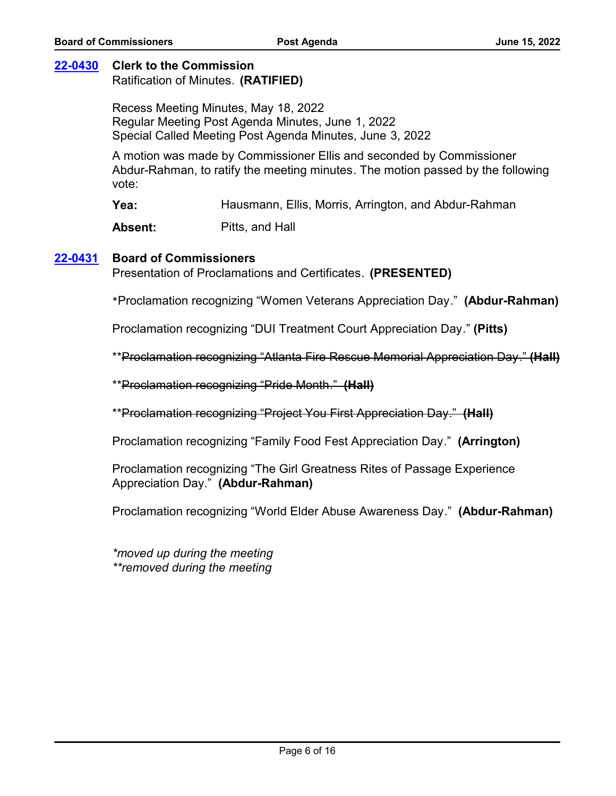## **[22-0430](http://fulton.legistar.com/gateway.aspx?m=l&id=/matter.aspx?key=10922) Clerk to the Commission**

Ratification of Minutes. **(RATIFIED)**

Recess Meeting Minutes, May 18, 2022 Regular Meeting Post Agenda Minutes, June 1, 2022 Special Called Meeting Post Agenda Minutes, June 3, 2022

A motion was made by Commissioner Ellis and seconded by Commissioner Abdur-Rahman, to ratify the meeting minutes. The motion passed by the following vote:

**Yea:** Hausmann, Ellis, Morris, Arrington, and Abdur-Rahman

Absent: Pitts, and Hall

#### **[22-0431](http://fulton.legistar.com/gateway.aspx?m=l&id=/matter.aspx?key=10921) Board of Commissioners**

Presentation of Proclamations and Certificates. **(PRESENTED)**

\*Proclamation recognizing "Women Veterans Appreciation Day." **(Abdur-Rahman)**

Proclamation recognizing "DUI Treatment Court Appreciation Day." **(Pitts)**

\*\*Proclamation recognizing "Atlanta Fire Rescue Memorial Appreciation Day." **(Hall)**

\*\*Proclamation recognizing "Pride Month." **(Hall)**

\*\*Proclamation recognizing "Project You First Appreciation Day." **(Hall)**

Proclamation recognizing "Family Food Fest Appreciation Day." **(Arrington)**

Proclamation recognizing "The Girl Greatness Rites of Passage Experience Appreciation Day." **(Abdur-Rahman)**

Proclamation recognizing "World Elder Abuse Awareness Day." **(Abdur-Rahman)**

*\*moved up during the meeting \*\*removed during the meeting*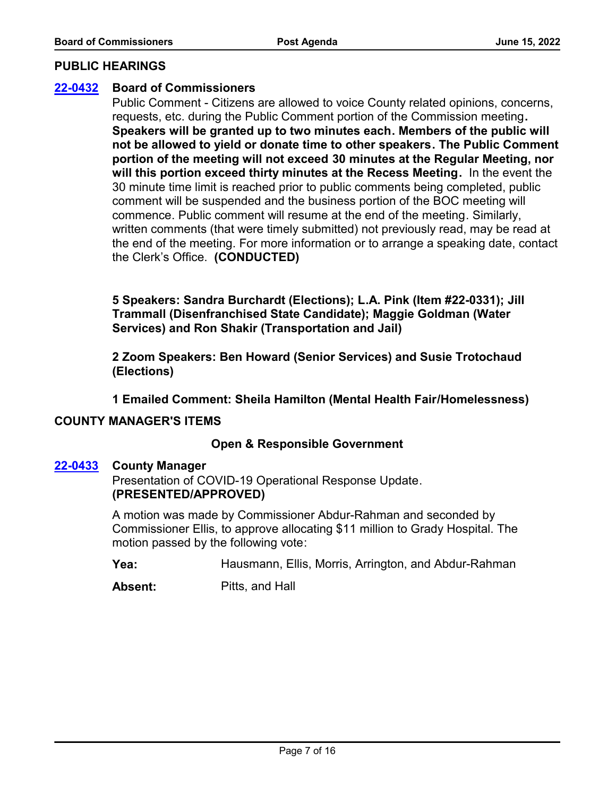#### **PUBLIC HEARINGS**

### **[22-0432](http://fulton.legistar.com/gateway.aspx?m=l&id=/matter.aspx?key=10923) Board of Commissioners**

Public Comment - Citizens are allowed to voice County related opinions, concerns, requests, etc. during the Public Comment portion of the Commission meeting**. Speakers will be granted up to two minutes each. Members of the public will not be allowed to yield or donate time to other speakers. The Public Comment portion of the meeting will not exceed 30 minutes at the Regular Meeting, nor will this portion exceed thirty minutes at the Recess Meeting.** In the event the 30 minute time limit is reached prior to public comments being completed, public comment will be suspended and the business portion of the BOC meeting will commence. Public comment will resume at the end of the meeting. Similarly, written comments (that were timely submitted) not previously read, may be read at the end of the meeting. For more information or to arrange a speaking date, contact the Clerk's Office. **(CONDUCTED)**

**5 Speakers: Sandra Burchardt (Elections); L.A. Pink (Item #22-0331); Jill Trammall (Disenfranchised State Candidate); Maggie Goldman (Water Services) and Ron Shakir (Transportation and Jail)**

**2 Zoom Speakers: Ben Howard (Senior Services) and Susie Trotochaud (Elections)**

**1 Emailed Comment: Sheila Hamilton (Mental Health Fair/Homelessness)**

#### **COUNTY MANAGER'S ITEMS**

## **Open & Responsible Government**

#### **[22-0433](http://fulton.legistar.com/gateway.aspx?m=l&id=/matter.aspx?key=10741) County Manager**

Presentation of COVID-19 Operational Response Update. **(PRESENTED/APPROVED)** 

A motion was made by Commissioner Abdur-Rahman and seconded by Commissioner Ellis, to approve allocating \$11 million to Grady Hospital. The motion passed by the following vote:

**Yea:** Hausmann, Ellis, Morris, Arrington, and Abdur-Rahman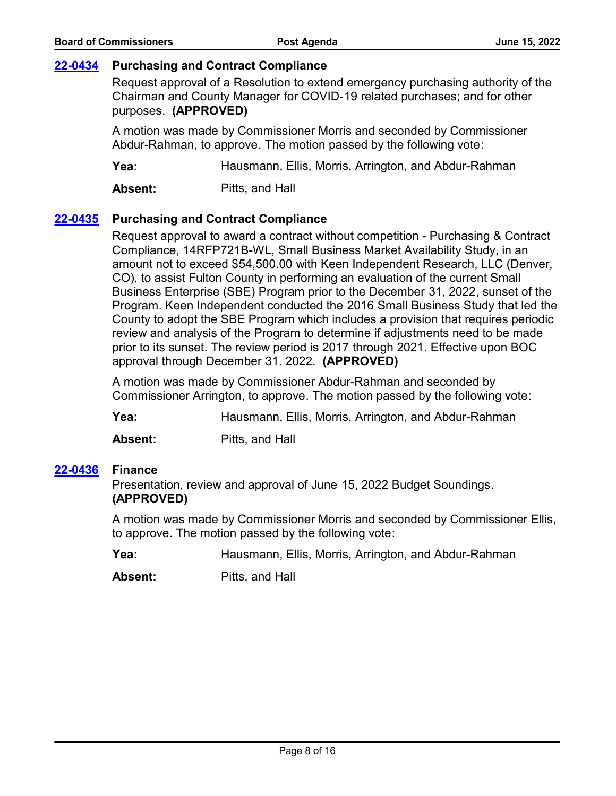## **[22-0434](http://fulton.legistar.com/gateway.aspx?m=l&id=/matter.aspx?key=10934) Purchasing and Contract Compliance**

Request approval of a Resolution to extend emergency purchasing authority of the Chairman and County Manager for COVID-19 related purchases; and for other purposes. **(APPROVED)**

A motion was made by Commissioner Morris and seconded by Commissioner Abdur-Rahman, to approve. The motion passed by the following vote:

**Yea:** Hausmann, Ellis, Morris, Arrington, and Abdur-Rahman

**Absent:** Pitts, and Hall

## **[22-0435](http://fulton.legistar.com/gateway.aspx?m=l&id=/matter.aspx?key=10928) Purchasing and Contract Compliance**

Request approval to award a contract without competition - Purchasing & Contract Compliance, 14RFP721B-WL, Small Business Market Availability Study, in an amount not to exceed \$54,500.00 with Keen Independent Research, LLC (Denver, CO), to assist Fulton County in performing an evaluation of the current Small Business Enterprise (SBE) Program prior to the December 31, 2022, sunset of the Program. Keen Independent conducted the 2016 Small Business Study that led the County to adopt the SBE Program which includes a provision that requires periodic review and analysis of the Program to determine if adjustments need to be made prior to its sunset. The review period is 2017 through 2021. Effective upon BOC approval through December 31. 2022. **(APPROVED)**

A motion was made by Commissioner Abdur-Rahman and seconded by Commissioner Arrington, to approve. The motion passed by the following vote:

**Yea:** Hausmann, Ellis, Morris, Arrington, and Abdur-Rahman

**Absent:** Pitts, and Hall

#### **[22-0436](http://fulton.legistar.com/gateway.aspx?m=l&id=/matter.aspx?key=10458) Finance**

Presentation, review and approval of June 15, 2022 Budget Soundings. **(APPROVED)**

A motion was made by Commissioner Morris and seconded by Commissioner Ellis, to approve. The motion passed by the following vote:

**Yea:** Hausmann, Ellis, Morris, Arrington, and Abdur-Rahman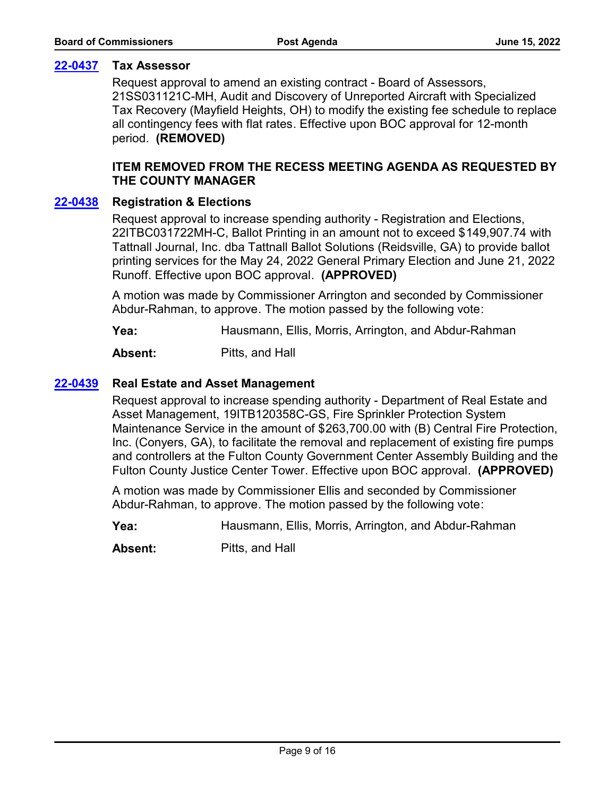## **[22-0437](http://fulton.legistar.com/gateway.aspx?m=l&id=/matter.aspx?key=10765) Tax Assessor**

Request approval to amend an existing contract - Board of Assessors, 21SS031121C-MH, Audit and Discovery of Unreported Aircraft with Specialized Tax Recovery (Mayfield Heights, OH) to modify the existing fee schedule to replace all contingency fees with flat rates. Effective upon BOC approval for 12-month period. **(REMOVED)**

## **ITEM REMOVED FROM THE RECESS MEETING AGENDA AS REQUESTED BY THE COUNTY MANAGER**

### **[22-0438](http://fulton.legistar.com/gateway.aspx?m=l&id=/matter.aspx?key=10822) Registration & Elections**

Request approval to increase spending authority - Registration and Elections, 22ITBC031722MH-C, Ballot Printing in an amount not to exceed \$149,907.74 with Tattnall Journal, Inc. dba Tattnall Ballot Solutions (Reidsville, GA) to provide ballot printing services for the May 24, 2022 General Primary Election and June 21, 2022 Runoff. Effective upon BOC approval. **(APPROVED)**

A motion was made by Commissioner Arrington and seconded by Commissioner Abdur-Rahman, to approve. The motion passed by the following vote:

**Yea:** Hausmann, Ellis, Morris, Arrington, and Abdur-Rahman

**Absent:** Pitts, and Hall

### **[22-0439](http://fulton.legistar.com/gateway.aspx?m=l&id=/matter.aspx?key=10906) Real Estate and Asset Management**

Request approval to increase spending authority - Department of Real Estate and Asset Management, 19ITB120358C-GS, Fire Sprinkler Protection System Maintenance Service in the amount of \$263,700.00 with (B) Central Fire Protection, Inc. (Conyers, GA), to facilitate the removal and replacement of existing fire pumps and controllers at the Fulton County Government Center Assembly Building and the Fulton County Justice Center Tower. Effective upon BOC approval. **(APPROVED)**

A motion was made by Commissioner Ellis and seconded by Commissioner Abdur-Rahman, to approve. The motion passed by the following vote:

**Yea:** Hausmann, Ellis, Morris, Arrington, and Abdur-Rahman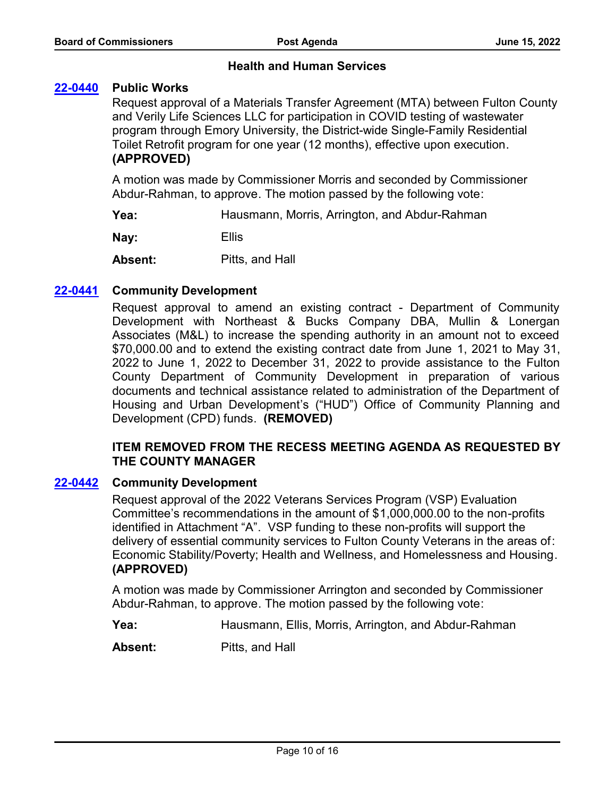## **Health and Human Services**

### **[22-0440](http://fulton.legistar.com/gateway.aspx?m=l&id=/matter.aspx?key=10888) Public Works**

Request approval of a Materials Transfer Agreement (MTA) between Fulton County and Verily Life Sciences LLC for participation in COVID testing of wastewater program through Emory University, the District-wide Single-Family Residential Toilet Retrofit program for one year (12 months), effective upon execution. **(APPROVED)**

A motion was made by Commissioner Morris and seconded by Commissioner Abdur-Rahman, to approve. The motion passed by the following vote:

**Yea:** Hausmann, Morris, Arrington, and Abdur-Rahman

**Nay:** Ellis

**Absent:** Pitts, and Hall

### **[22-0441](http://fulton.legistar.com/gateway.aspx?m=l&id=/matter.aspx?key=10838) Community Development**

Request approval to amend an existing contract - Department of Community Development with Northeast & Bucks Company DBA, Mullin & Lonergan Associates (M&L) to increase the spending authority in an amount not to exceed \$70,000.00 and to extend the existing contract date from June 1, 2021 to May 31, 2022 to June 1, 2022 to December 31, 2022 to provide assistance to the Fulton County Department of Community Development in preparation of various documents and technical assistance related to administration of the Department of Housing and Urban Development's ("HUD") Office of Community Planning and Development (CPD) funds. **(REMOVED)**

## **ITEM REMOVED FROM THE RECESS MEETING AGENDA AS REQUESTED BY THE COUNTY MANAGER**

#### **[22-0442](http://fulton.legistar.com/gateway.aspx?m=l&id=/matter.aspx?key=10913) Community Development**

Request approval of the 2022 Veterans Services Program (VSP) Evaluation Committee's recommendations in the amount of \$1,000,000.00 to the non-profits identified in Attachment "A". VSP funding to these non-profits will support the delivery of essential community services to Fulton County Veterans in the areas of: Economic Stability/Poverty; Health and Wellness, and Homelessness and Housing. **(APPROVED)**

A motion was made by Commissioner Arrington and seconded by Commissioner Abdur-Rahman, to approve. The motion passed by the following vote:

**Yea:** Hausmann, Ellis, Morris, Arrington, and Abdur-Rahman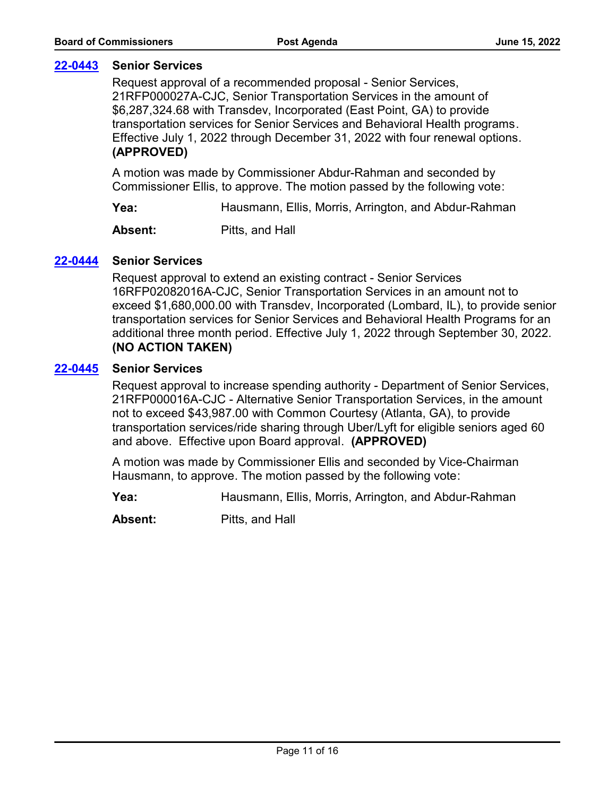## **[22-0443](http://fulton.legistar.com/gateway.aspx?m=l&id=/matter.aspx?key=10851) Senior Services**

Request approval of a recommended proposal - Senior Services, 21RFP000027A-CJC, Senior Transportation Services in the amount of \$6,287,324.68 with Transdev, Incorporated (East Point, GA) to provide transportation services for Senior Services and Behavioral Health programs. Effective July 1, 2022 through December 31, 2022 with four renewal options. **(APPROVED)**

A motion was made by Commissioner Abdur-Rahman and seconded by Commissioner Ellis, to approve. The motion passed by the following vote:

**Yea:** Hausmann, Ellis, Morris, Arrington, and Abdur-Rahman

**Absent:** Pitts, and Hall

## **[22-0444](http://fulton.legistar.com/gateway.aspx?m=l&id=/matter.aspx?key=10915) Senior Services**

Request approval to extend an existing contract - Senior Services 16RFP02082016A-CJC, Senior Transportation Services in an amount not to exceed \$1,680,000.00 with Transdev, Incorporated (Lombard, IL), to provide senior transportation services for Senior Services and Behavioral Health Programs for an additional three month period. Effective July 1, 2022 through September 30, 2022. **(NO ACTION TAKEN)**

### **[22-0445](http://fulton.legistar.com/gateway.aspx?m=l&id=/matter.aspx?key=10904) Senior Services**

Request approval to increase spending authority - Department of Senior Services, 21RFP000016A-CJC - Alternative Senior Transportation Services, in the amount not to exceed \$43,987.00 with Common Courtesy (Atlanta, GA), to provide transportation services/ride sharing through Uber/Lyft for eligible seniors aged 60 and above. Effective upon Board approval. **(APPROVED)**

A motion was made by Commissioner Ellis and seconded by Vice-Chairman Hausmann, to approve. The motion passed by the following vote:

**Yea:** Hausmann, Ellis, Morris, Arrington, and Abdur-Rahman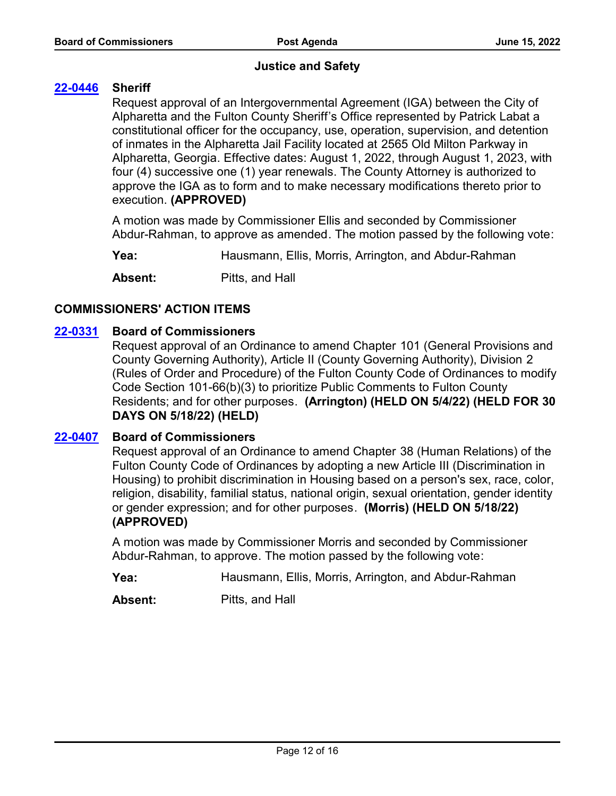## **Justice and Safety**

## **[22-0446](http://fulton.legistar.com/gateway.aspx?m=l&id=/matter.aspx?key=10940) Sheriff**

Request approval of an Intergovernmental Agreement (IGA) between the City of Alpharetta and the Fulton County Sheriff's Office represented by Patrick Labat a constitutional officer for the occupancy, use, operation, supervision, and detention of inmates in the Alpharetta Jail Facility located at 2565 Old Milton Parkway in Alpharetta, Georgia. Effective dates: August 1, 2022, through August 1, 2023, with four (4) successive one (1) year renewals. The County Attorney is authorized to approve the IGA as to form and to make necessary modifications thereto prior to execution. **(APPROVED)**

A motion was made by Commissioner Ellis and seconded by Commissioner Abdur-Rahman, to approve as amended. The motion passed by the following vote:

**Yea:** Hausmann, Ellis, Morris, Arrington, and Abdur-Rahman

**Absent:** Pitts, and Hall

## **COMMISSIONERS' ACTION ITEMS**

### **[22-0331](http://fulton.legistar.com/gateway.aspx?m=l&id=/matter.aspx?key=10795) Board of Commissioners**

Request approval of an Ordinance to amend Chapter 101 (General Provisions and County Governing Authority), Article II (County Governing Authority), Division 2 (Rules of Order and Procedure) of the Fulton County Code of Ordinances to modify Code Section 101-66(b)(3) to prioritize Public Comments to Fulton County Residents; and for other purposes. **(Arrington) (HELD ON 5/4/22) (HELD FOR 30 DAYS ON 5/18/22) (HELD)**

#### **[22-0407](http://fulton.legistar.com/gateway.aspx?m=l&id=/matter.aspx?key=10901) Board of Commissioners**

Request approval of an Ordinance to amend Chapter 38 (Human Relations) of the Fulton County Code of Ordinances by adopting a new Article III (Discrimination in Housing) to prohibit discrimination in Housing based on a person's sex, race, color, religion, disability, familial status, national origin, sexual orientation, gender identity or gender expression; and for other purposes. **(Morris) (HELD ON 5/18/22) (APPROVED)**

A motion was made by Commissioner Morris and seconded by Commissioner Abdur-Rahman, to approve. The motion passed by the following vote:

**Yea:** Hausmann, Ellis, Morris, Arrington, and Abdur-Rahman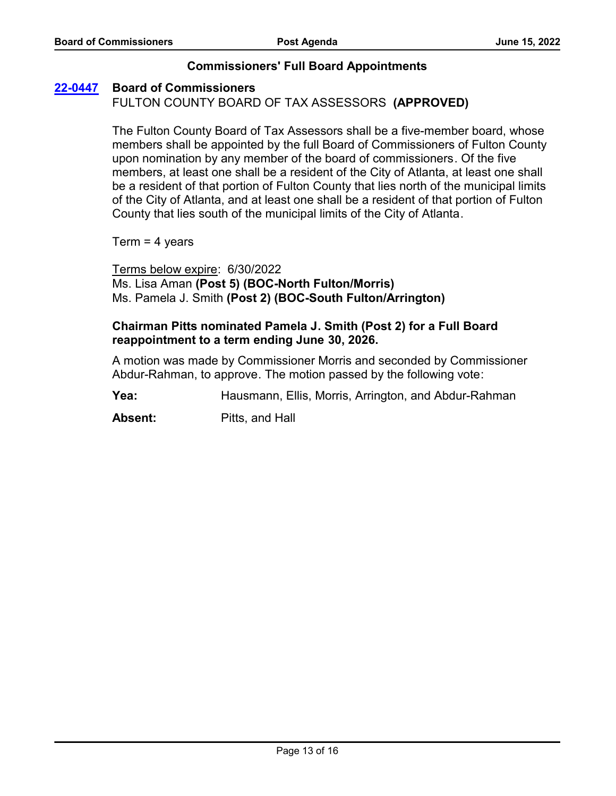## **Commissioners' Full Board Appointments**

### **[22-0447](http://fulton.legistar.com/gateway.aspx?m=l&id=/matter.aspx?key=10927) Board of Commissioners**

FULTON COUNTY BOARD OF TAX ASSESSORS **(APPROVED)**

The Fulton County Board of Tax Assessors shall be a five-member board, whose members shall be appointed by the full Board of Commissioners of Fulton County upon nomination by any member of the board of commissioners. Of the five members, at least one shall be a resident of the City of Atlanta, at least one shall be a resident of that portion of Fulton County that lies north of the municipal limits of the City of Atlanta, and at least one shall be a resident of that portion of Fulton County that lies south of the municipal limits of the City of Atlanta.

 $Term = 4 years$ 

Terms below expire: 6/30/2022 Ms. Lisa Aman **(Post 5) (BOC-North Fulton/Morris)**  Ms. Pamela J. Smith **(Post 2) (BOC-South Fulton/Arrington)**

## **Chairman Pitts nominated Pamela J. Smith (Post 2) for a Full Board reappointment to a term ending June 30, 2026.**

A motion was made by Commissioner Morris and seconded by Commissioner Abdur-Rahman, to approve. The motion passed by the following vote:

**Yea:** Hausmann, Ellis, Morris, Arrington, and Abdur-Rahman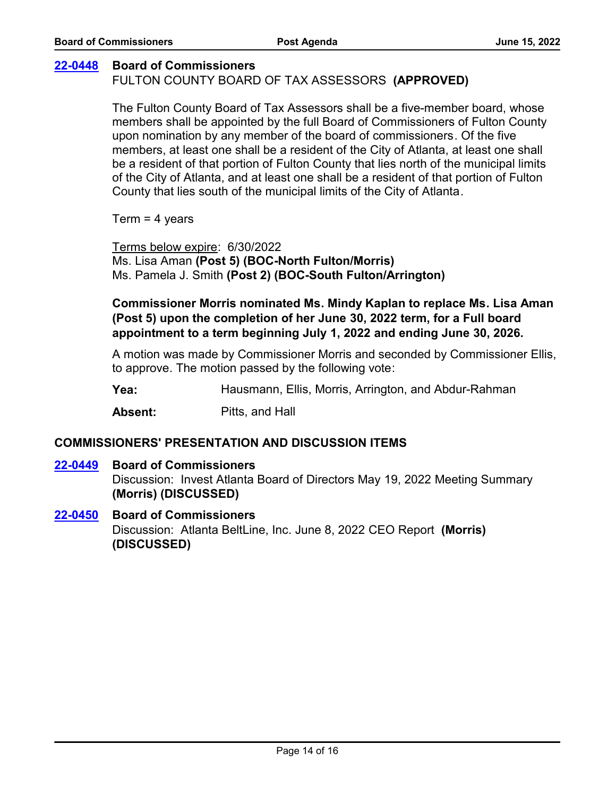### **[22-0448](http://fulton.legistar.com/gateway.aspx?m=l&id=/matter.aspx?key=10929) Board of Commissioners**

## FULTON COUNTY BOARD OF TAX ASSESSORS **(APPROVED)**

The Fulton County Board of Tax Assessors shall be a five-member board, whose members shall be appointed by the full Board of Commissioners of Fulton County upon nomination by any member of the board of commissioners. Of the five members, at least one shall be a resident of the City of Atlanta, at least one shall be a resident of that portion of Fulton County that lies north of the municipal limits of the City of Atlanta, and at least one shall be a resident of that portion of Fulton County that lies south of the municipal limits of the City of Atlanta.

 $Term = 4 \text{ years}$ 

Terms below expire: 6/30/2022 Ms. Lisa Aman **(Post 5) (BOC-North Fulton/Morris)** Ms. Pamela J. Smith **(Post 2) (BOC-South Fulton/Arrington)**

**Commissioner Morris nominated Ms. Mindy Kaplan to replace Ms. Lisa Aman (Post 5) upon the completion of her June 30, 2022 term, for a Full board**  appointment to a term beginning July 1, 2022 and ending June 30, 2026.

A motion was made by Commissioner Morris and seconded by Commissioner Ellis, to approve. The motion passed by the following vote:

**Yea:** Hausmann, Ellis, Morris, Arrington, and Abdur-Rahman

**Absent:** Pitts, and Hall

#### **COMMISSIONERS' PRESENTATION AND DISCUSSION ITEMS**

#### **[22-0449](http://fulton.legistar.com/gateway.aspx?m=l&id=/matter.aspx?key=10924) Board of Commissioners**

Discussion: Invest Atlanta Board of Directors May 19, 2022 Meeting Summary **(Morris) (DISCUSSED)**

# Discussion: Atlanta BeltLine, Inc. June 8, 2022 CEO Report **(Morris) (DISCUSSED) [22-0450](http://fulton.legistar.com/gateway.aspx?m=l&id=/matter.aspx?key=10925) Board of Commissioners**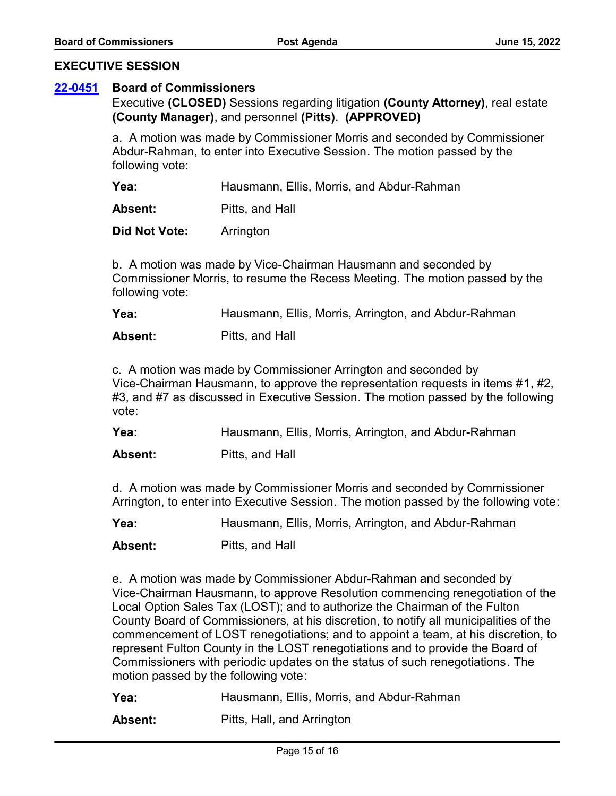#### **EXECUTIVE SESSION**

#### **[22-0451](http://fulton.legistar.com/gateway.aspx?m=l&id=/matter.aspx?key=10926) Board of Commissioners**

Executive **(CLOSED)** Sessions regarding litigation **(County Attorney)**, real estate **(County Manager)**, and personnel **(Pitts)**. **(APPROVED)**

a. A motion was made by Commissioner Morris and seconded by Commissioner Abdur-Rahman, to enter into Executive Session. The motion passed by the following vote:

**Yea:** Hausmann, Ellis, Morris, and Abdur-Rahman

**Absent:** Pitts, and Hall

**Did Not Vote:** Arrington

b. A motion was made by Vice-Chairman Hausmann and seconded by Commissioner Morris, to resume the Recess Meeting. The motion passed by the following vote:

**Yea:** Hausmann, Ellis, Morris, Arrington, and Abdur-Rahman

**Absent:** Pitts, and Hall

c. A motion was made by Commissioner Arrington and seconded by Vice-Chairman Hausmann, to approve the representation requests in items #1, #2, #3, and #7 as discussed in Executive Session. The motion passed by the following vote:

**Yea:** Hausmann, Ellis, Morris, Arrington, and Abdur-Rahman

**Absent:** Pitts, and Hall

d. A motion was made by Commissioner Morris and seconded by Commissioner Arrington, to enter into Executive Session. The motion passed by the following vote:

**Yea:** Hausmann, Ellis, Morris, Arrington, and Abdur-Rahman

**Absent:** Pitts, and Hall

e. A motion was made by Commissioner Abdur-Rahman and seconded by Vice-Chairman Hausmann, to approve Resolution commencing renegotiation of the Local Option Sales Tax (LOST); and to authorize the Chairman of the Fulton County Board of Commissioners, at his discretion, to notify all municipalities of the commencement of LOST renegotiations; and to appoint a team, at his discretion, to represent Fulton County in the LOST renegotiations and to provide the Board of Commissioners with periodic updates on the status of such renegotiations. The motion passed by the following vote:

**Yea:** Hausmann, Ellis, Morris, and Abdur-Rahman

**Absent:** Pitts, Hall, and Arrington